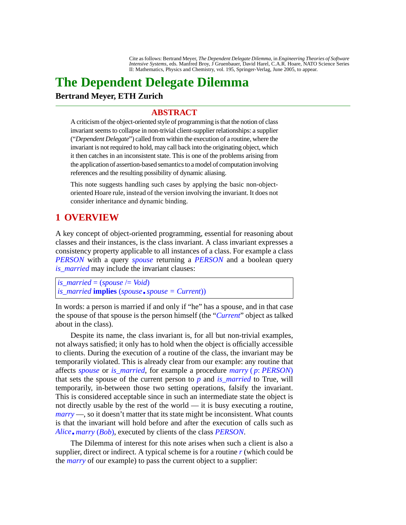Cite as follows: Bertrand Meyer, *The Dependent Delegate Dilemma*, in *Engineering Theories of Software Intensive Systems*, eds. Manfred Broy, J Gruenbauer, David Harel, C.A.R. Hoare, NATO Science Series II: Mathematics, Physics and Chemistry, vol. 195, Springer-Verlag, June 2005, to appear.

# **The Dependent Delegate Dilemma Bertrand Meyer, ETH Zurich**

#### **ABSTRACT**

A criticism of the object-oriented style of programming is that the notion of class invariant seems to collapse in non-trivial client-supplier relationships: a supplier ("*Dependent Delegate*") called from within the execution of a routine, where the invariant is not required to hold, may call back into the originating object, which it then catches in an inconsistent state. This is one of the problems arising from the application of assertion-based semantics to a model of computation involving references and the resulting possibility of dynamic aliasing.

This note suggests handling such cases by applying the basic non-objectoriented Hoare rule, instead of the version involving the invariant. It does not consider inheritance and dynamic binding.

## **1 OVERVIEW**

A key concept of object-oriented programming, essential for reasoning about classes and their instances, is the class invariant. A class invariant expresses a consistency property applicable to all instances of a class. For example a class *PERSON* with a query *spouse* returning a *PERSON* and a boolean query *is married* may include the invariant clauses:

```
is_married = (spouse /= Void)
is_married implies (spouse.spouse = Current))
```
In words: a person is married if and only if "he" has a spouse, and in that case the spouse of that spouse is the person himself (the "*Current*" object as talked about in the class).

Despite its name, the class invariant is, for all but non-trivial examples, not always satisfied; it only has to hold when the object is officially accessible to clients. During the execution of a routine of the class, the invariant may be temporarily violated. This is already clear from our example: any routine that affects *spouse* or *is\_married*, for example a procedure *marry* ( *p*: *PERSON*) that sets the spouse of the current person to *p* and *is\_married* to True, will temporarily, in-between those two setting operations, falsify the invariant. This is considered acceptable since in such an intermediate state the object is not directly usable by the rest of the world — it is busy executing a routine, *marry* —, so it doesn't matter that its state might be inconsistent. What counts is that the invariant will hold before and after the execution of calls such as *Alice*.*marry* (*Bob*), executed by clients of the class *PERSON*.

The Dilemma of interest for this note arises when such a client is also a supplier, direct or indirect. A typical scheme is for a routine *r* (which could be the *marry* of our example) to pass the current object to a supplier: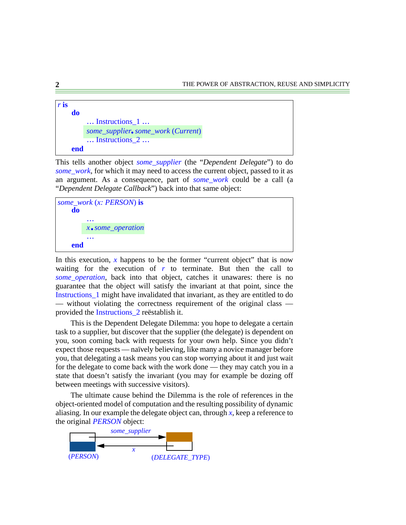| r is |     |                                   |
|------|-----|-----------------------------------|
|      | do  |                                   |
|      |     | $\dots$ Instructions 1 $\dots$    |
|      |     | some_supplier.some_work (Current) |
|      |     | $\ldots$ Instructions 2 $\ldots$  |
|      | end |                                   |

This tells another object *some\_supplier* (the "*Dependent Delegate*") to do *some\_work*, for which it may need to access the current object, passed to it as an argument. As a consequence, part of *some\_work* could be a call (a "*Dependent Delegate Callback*") back into that same object:

```
some_work (x: PERSON) is
   do
        …
        x.some_operation
        …
   end
```
In this execution,  $x$  happens to be the former "current object" that is now waiting for the execution of  $r$  to terminate. But then the call to *some operation*, back into that object, catches it unawares: there is no guarantee that the object will satisfy the invariant at that point, since the Instructions\_1 might have invalidated that invariant, as they are entitled to do — without violating the correctness requirement of the original class provided the Instructions\_2 reëstablish it.

This is the Dependent Delegate Dilemma: you hope to delegate a certain task to a supplier, but discover that the supplier (the delegate) is dependent on you, soon coming back with requests for your own help. Since you didn't expect those requests — naïvely believing, like many a novice manager before you, that delegating a task means you can stop worrying about it and just wait for the delegate to come back with the work done — they may catch you in a state that doesn't satisfy the invariant (you may for example be dozing off between meetings with successive visitors).

The ultimate cause behind the Dilemma is the role of references in the object-oriented model of computation and the resulting possibility of dynamic aliasing. In our example the delegate object can, through *x*, keep a reference to the original *PERSON* object:

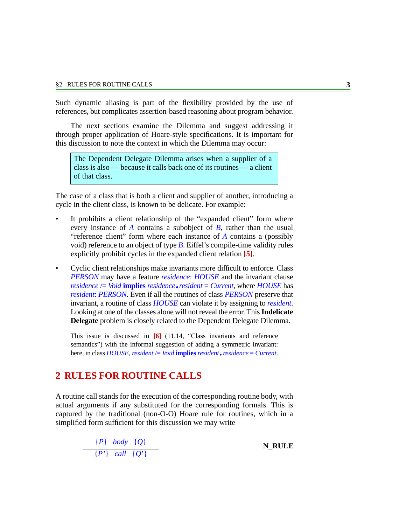Such dynamic aliasing is part of the flexibility provided by the use of references, but complicates assertion-based reasoning about program behavior.

The next sections examine the Dilemma and suggest addressing it through proper application of Hoare-style specifications. It is important for this discussion to note the context in which the Dilemma may occur:

The Dependent Delegate Dilemma arises when a supplier of a class is also — because it calls back one of its routines — a client of that class.

The case of a class that is both a client and supplier of another, introducing a cycle in the client class, is known to be delicate. For example:

- It prohibits a client relationship of the "expanded client" form where every instance of *A* contains a subobject of *B*, rather than the usual "reference client" form where each instance of *A* contains a (possibly void) reference to an object of type *B*. Eiffel's compile-time validity rules explicitly prohibit cycles in the expanded client relation **[\[5\]](#page-13-0)**.
- Cyclic client relationships make invariants more difficult to enforce. Class *PERSON* may have a feature *residence*: *HOUSE* and the invariant clause *residence* /= *Void* **implies** *residence*.*resident* <sup>=</sup> *Current*, where *HOUSE* has *resident*: *PERSON*. Even if all the routines of class *PERSON* preserve that invariant, a routine of class *HOUSE* can violate it by assigning to *resident*. Looking at one of the classes alone will not reveal the error. This**Indelicate Delegate** problem is closely related to the Dependent Delegate Dilemma.

This issue is discussed in **[\[6\]](#page-13-1)** (11.14, "Class invariants and reference semantics") with the informal suggestion of adding a symmetric invariant: here, in class *HOUSE*, *resident* /= *Void* **implies** *resident*.*residence* <sup>=</sup> *Current*.

## **2 RULES FOR ROUTINE CALLS**

A routine call stands for the execution of the corresponding routine body, with actual arguments if any substituted for the corresponding formals. This is captured by the traditional (non-O-O) Hoare rule for routines, which in a simplified form sufficient for this discussion we may write

| <i>body</i>  | $\{U\}$ |  |
|--------------|---------|--|
| call $\{O\}$ |         |  |

**N\_RULE**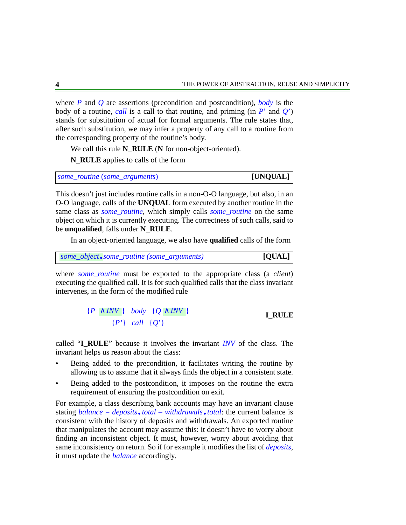where  $P$  and  $Q$  are assertions (precondition and postcondition), *body* is the body of a routine, *call* is a call to that routine, and priming (in *P*' and *Q*') stands for substitution of actual for formal arguments. The rule states that, after such substitution, we may infer a property of any call to a routine from the corresponding property of the routine's body.

We call this rule **N\_RULE** (**N** for non-object-oriented).

**N\_RULE** applies to calls of the form

| <i>some_routine (some_arguments)</i> |  | [UNQUAL] |
|--------------------------------------|--|----------|
|--------------------------------------|--|----------|

This doesn't just includes routine calls in a non-O-O language, but also, in an O-O language, calls of the **UNQUAL** form executed by another routine in the same class as *some\_routine*, which simply calls *some\_routine* on the same object on which it is currently executing. The correctness of such calls, said to be **unqualified**, falls under **N\_RULE**.

In an object-oriented language, we also have **qualified** calls of the form

*some\_routine (some\_arguments)* **[QUAL]** *some\_object*.

where *some\_routine* must be exported to the appropriate class (a *client*) executing the qualified call. It is for such qualified calls that the class invariant intervenes, in the form of the modified rule

$$
\frac{\{P \sim \text{INV}\} \quad body \quad \{Q \land \text{INV}\}}{\{P'\} \quad call \quad \{Q'\}}
$$
 **I\_RULE**

called "**I\_RULE**" because it involves the invariant *INV* of the class. The invariant helps us reason about the class:

- Being added to the precondition, it facilitates writing the routine by allowing us to assume that it always finds the object in a consistent state.
- Being added to the postcondition, it imposes on the routine the extra requirement of ensuring the postcondition on exit.

For example, a class describing bank accounts may have an invariant clause stating *balance* <sup>=</sup> *deposits*.*total* – *withdrawals*.*total*: the current balance is consistent with the history of deposits and withdrawals. An exported routine that manipulates the account may assume this: it doesn't have to worry about finding an inconsistent object. It must, however, worry about avoiding that same inconsistency on return. So if for example it modifies the list of *deposits*, it must update the *balance* accordingly.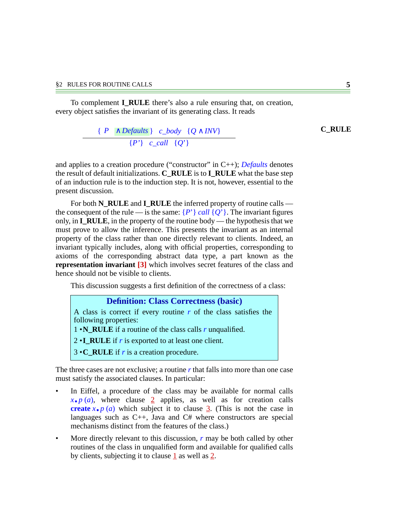To complement **I\_RULE** there's also a rule ensuring that, on creation, every object satisfies the invariant of its generating class. It reads

$$
\{ P \land \text{Defaults } \} \quad c\_body \quad \{ Q \land \text{INV} \} \qquad \qquad \text{C\_RULE} \tag{P'} \quad c\_call \quad \{ Q' \}
$$

and applies to a creation procedure ("constructor" in C++); *Defaults* denotes the result of default initializations. **C\_RULE** is to **I\_RULE** what the base step of an induction rule is to the induction step. It is not, however, essential to the present discussion.

For both **N\_RULE** and **I\_RULE** the inferred property of routine calls the consequent of the rule — is the same:  $\{P^{\prime}\}\text{call } \{Q^{\prime}\}\$ . The invariant figures only, in **I\_RULE**, in the property of the routine body — the hypothesis that we must prove to allow the inference. This presents the invariant as an internal property of the class rather than one directly relevant to clients. Indeed, an invariant typically includes, along with official properties, corresponding to axioms of the corresponding abstract data type, a part known as the **representation invariant** [\[3\]](#page-13-2) which involves secret features of the class and hence should not be visible to clients.

This discussion suggests a first definition of the correctness of a class:

#### **Definition: Class Correctness (basic)**

A class is correct if every routine *r* of the class satisfies the following properties:

<span id="page-4-2"></span>1 •**N\_RULE** if a routine of the class calls *r* unqualified.

<span id="page-4-0"></span>2 •**I\_RULE** if *r* is exported to at least one client.

<span id="page-4-1"></span>3 •**C\_RULE** if *r* is a creation procedure.

The three cases are not exclusive; a routine *r* that falls into more than one case must satisfy the associated clauses. In particular:

- In Eiffel, a procedure of [t](#page-4-0)he class may be available for normal calls  $x \cdot p$  (*a*), where clause 2 applies, as [we](#page-4-1)ll as for creation calls **create**  $x \cdot p$  (*a*) which subject it to clause  $\frac{3}{2}$ . (This is not the case in languages such as C++, Java and C# where constructors are special mechanisms distinct from the features of the class.)
- More directly relevant to this discussion, *r* may be both called by other routines of the class in unqualified form and available for qualified calls by clients, subjecting it to clause  $\frac{1}{2}$  $\frac{1}{2}$  $\frac{1}{2}$  $\frac{1}{2}$  $\frac{1}{2}$  as well as  $\frac{2}{2}$ .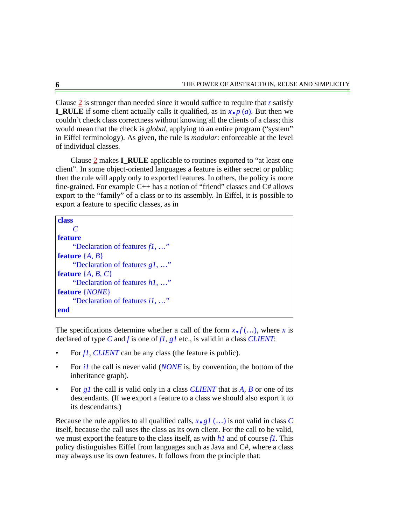Clause [2](#page-4-0) is stronger than needed since it would suffice to require that *r* satisfy **I\_RULE** if some client actually calls it qualified, as in  $x \cdot p$  (*a*). But then we couldn't check class correctness without knowing all the clients of a class; this would mean that the check is *global*, applying to an entire program ("system" in Eiffel terminology). As given, the rule is *modular*: enforceable at the level of individual classes.

Clause [2](#page-4-0) makes **I\_RULE** applicable to routines exported to "at least one client". In some object-oriented languages a feature is either secret or public; then the rule will apply only to exported features. In others, the policy is more fine-grained. For example C++ has a notion of "friend" classes and C# allows export to the "family" of a class or to its assembly. In Eiffel, it is possible to export a feature to specific classes, as in

**class** *C* **feature** "Declaration of features *f1*, …" **feature** {*A*, *B*} "Declaration of features *g1*, …" **feature** {*A*, *B, C*} "Declaration of features *h1*, …" **feature** {*NONE*} "Declaration of features *i1*, …" **end**

The specifications determine whether a call of the form  $x \cdot f$  (...), where *x* is declared of type *C* and *f* is one of *f1*, *g1* etc., is valid in a class *CLIENT*:

- For *f1*, *CLIENT* can be any class (the feature is public).
- For *il* the call is never valid (*NONE* is, by convention, the bottom of the inheritance graph).
- For *g1* the call is valid only in a class *CLIENT* that is *A*, *B* or one of its descendants. (If we export a feature to a class we should also export it to its descendants.)

Because the rule applies to all qualified calls,  $x \cdot g1$  (...) is not valid in class C itself, because the call uses the class as its own client. For the call to be valid, we must export the feature to the class itself, as with *h1* and of course *f1*. This policy distinguishes Eiffel from languages such as Java and C#, where a class may always use its own features. It follows from the principle that: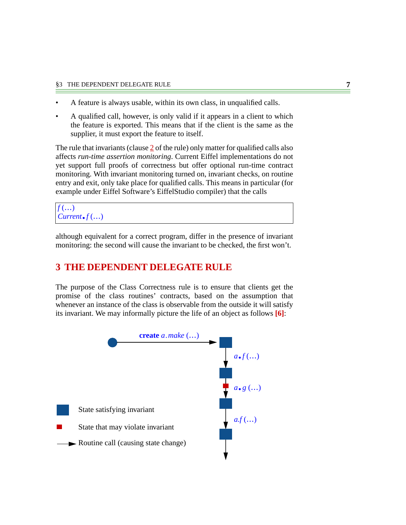- A feature is always usable, within its own class, in unqualified calls.
- A qualified call, however, is only valid if it appears in a client to which the feature is exported. This means that if the client is the same as the supplier, it must export the feature to itself.

The rule that invariants (clause [2](#page-4-0) of the rule) only matter for qualified calls also affects *run-time assertion monitoring*. Current Eiffel implementations do not yet support full proofs of correctness but offer optional run-time contract monitoring. With invariant monitoring turned on, invariant checks, on routine entry and exit, only take place for qualified calls. This means in particular (for example under Eiffel Software's EiffelStudio compiler) that the calls

*f* (…) *Current*.*<sup>f</sup>* (…)

although equivalent for a correct program, differ in the presence of invariant monitoring: the second will cause the invariant to be checked, the first won't.

## **3 THE DEPENDENT DELEGATE RULE**

The purpose of the Class Correctness rule is to ensure that clients get the promise of the class routines' contracts, based on the assumption that whenever an instance of the class is observable from the outside it will satisfy its invariant. We may informally picture the life of an object as follows **[\[6\]](#page-13-1)**:

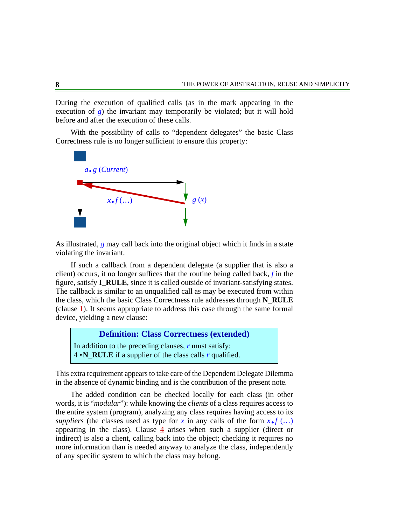During the execution of qualified calls (as in the mark appearing in the execution of  $g$ ) the invariant may temporarily be violated; but it will hold before and after the execution of these calls.

With the possibility of calls to "dependent delegates" the basic Class Correctness rule is no longer sufficient to ensure this property:



As illustrated, *g* may call back into the original object which it finds in a state violating the invariant.

If such a callback from a dependent delegate (a supplier that is also a client) occurs, it no longer suffices that the routine being called back, *f* in the figure, satisfy **I\_RULE**, since it is called outside of invariant-satisfying states. The callback is similar to an unqualified call as may be executed from within the class, which the basic Class Correctness rule addresses through **N\_RULE** (clause [1\)](#page-4-2). It seems appropriate to address this case through the same formal device, yielding a new clause:

#### **Definition: Class Correctness (extended)**

<span id="page-7-0"></span>In addition to the preceding clauses, *r* must satisfy: 4 •**N\_RULE** if a supplier of the class calls *r* qualified.

This extra requirement appears to take care of the Dependent Delegate Dilemma in the absence of dynamic binding and is the contribution of the present note.

The added condition can be checked locally for each class (in other words, it is "*modular*"): while knowing the *clients* of a class requires access to the entire system (program), analyzing any class requires having access to its *suppliers* (the classes used as type for *x* in any calls of the form  $x \cdot f$  (...) appearing in the class). Clause  $\frac{4}{3}$  $\frac{4}{3}$  $\frac{4}{3}$  arises when such a supplier (direct or indirect) is also a client, calling back into the object; checking it requires no more information than is needed anyway to analyze the class, independently of any specific system to which the class may belong.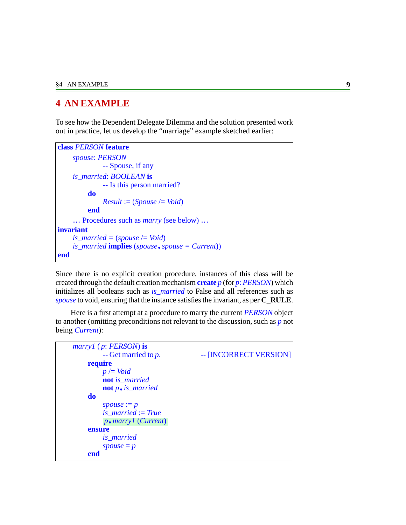## **4 AN EXAMPLE**

To see how the Dependent Delegate Dilemma and the solution presented work out in practice, let us develop the "marriage" example sketched earlier:

```
class PERSON feature
    spouse: PERSON
             -- Spouse, if any
    is_married: BOOLEAN is
             -- Is this person married?
         do
             Result := (Spouse /= Void)
         end
    … Procedures such as marry (see below) …
invariant
    is married = (spouse /= Void)
    is_married implies (spouse.spouse = Current))
end
```
Since there is no explicit creation procedure, instances of this class will be created through the default creation mechanism **create** *p* (for *p*: *PERSON*) which initializes all booleans such as *is married* to False and all references such as *spouse* to void, ensuring that the instance satisfies the invariant, as per **C\_RULE**.

Here is a first attempt at a procedure to marry the current *PERSON* object to another (omitting preconditions not relevant to the discussion, such as *p* not being *Current*):

```
marry1 ( p: PERSON) is
       -- Get married to p. -- [INCORRECT VERSION]
   require
       p \leq Volnot is_married
       not p.is_married
   do

       is_married := True
   ensure
       is_married

   end
       p.marry1 (Current)
```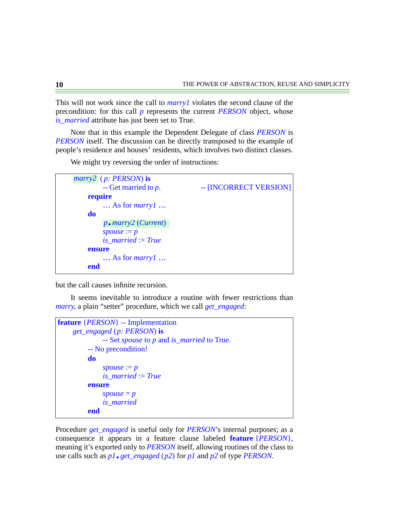This will not work since the call to *marry1* violates the second clause of the precondition: for this call *p* represents the current *PERSON* object, whose *is\_married* attribute has just been set to True.

Note that in this example the Dependent Delegate of class *PERSON* is *PERSON* itself. The discussion can be directly transposed to the example of people's residence and houses' residents, which involves two distinct classes.

We might try reversing the order of instructions:

```
( p: PERSON) is
marry2
       -- Get married to p. -- [INCORRECT VERSION]
   require
       … As for marry1 …
   do

       is_married := True
   ensure
       … As for marry1 …
   end
       p.marry2 (Current)
```
but the call causes infinite recursion.

It seems inevitable to introduce a routine with fewer restrictions than *marry*, a plain "setter" procedure, which we call *get\_engaged*:

```
feature {PERSON} -- Implementation
    get_engaged (p: PERSON) is
            -- Set spouse to p and is_married to True.
        -- No precondition!
        do

            is_married := True
        ensure

            is_married
        end
```
Procedure *get\_engaged* is useful only for *PERSON*'s internal purposes; as a consequence it appears in a feature clause labeled **feature** {*PERSON*}, meaning it's exported only to *PERSON* itself, allowing routines of the class to use calls such as *p1*.*get\_engaged* (*p2*) for *p1* and *p2* of type *PERSON*.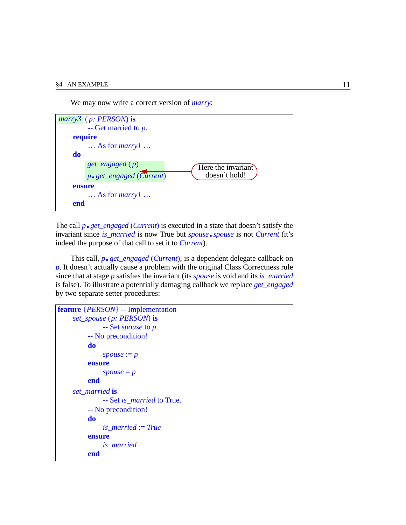We may now write a correct version of *marry*:



The call *<sup>p</sup>*.*get\_engaged* (*Current*) is executed in a state that doesn't satisfy the invariant since *is\_married* is now True but *spouse*.*spouse* is not *Current* (it's indeed the purpose of that call to set it to *Current*).

This call, *<sup>p</sup>*.*get\_engaged* (*Current*), is a dependent delegate callback on *p*. It doesn't actually cause a problem with the original Class Correctness rule since that at stage *p* satisfies the invariant (its *spouse* is void and its *is\_married* is false). To illustrate a potentially damaging callback we replace *get\_engaged* by two separate setter procedures:

```
feature {PERSON} -- Implementation
    set_spouse (p: PERSON) is
            -- Set spouse to p.
        -- No precondition!
        do

        ensure

        end
    set_married is
             -- Set is_married to True.
        -- No precondition!
        do
            is_married := True
        ensure
             is_married
        end
```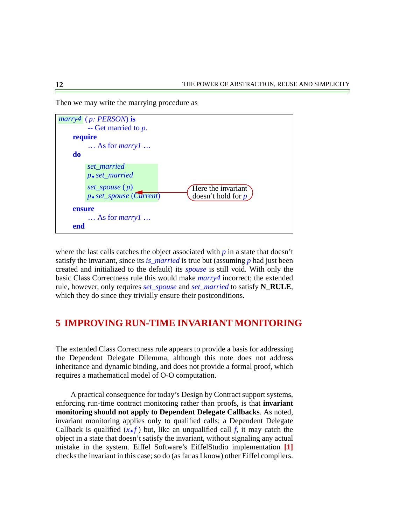Then we may write the marrying procedure as



where the last calls catches the object associated with *p* in a state that doesn't satisfy the invariant, since its *is\_married* is true but (assuming *p* had just been created and initialized to the default) its *spouse* is still void. With only the basic Class Correctness rule this would make *marry4* incorrect; the extended rule, however, only requires *set\_spouse* and *set\_married* to satisfy **N\_RULE**, which they do since they trivially ensure their postconditions.

## **5 IMPROVING RUN-TIME INVARIANT MONITORING**

The extended Class Correctness rule appears to provide a basis for addressing the Dependent Delegate Dilemma, although this note does not address inheritance and dynamic binding, and does not provide a formal proof, which requires a mathematical model of O-O computation.

A practical consequence for today's Design by Contract support systems, enforcing run-time contract monitoring rather than proofs, is that **invariant monitoring should not apply to Dependent Delegate Callbacks**. As noted, invariant monitoring applies only to qualified calls; a Dependent Delegate Callback is qualified  $(x \cdot f)$  but, like an unqualified call *f*, it may catch the object in a state that doesn't satisfy the invariant, without signaling any actual mistake in the system. Eiffel Software's EiffelStudio implementation **[\[1\]](#page-13-3)** checks the invariant in this case; so do (as far as I know) other Eiffel compilers.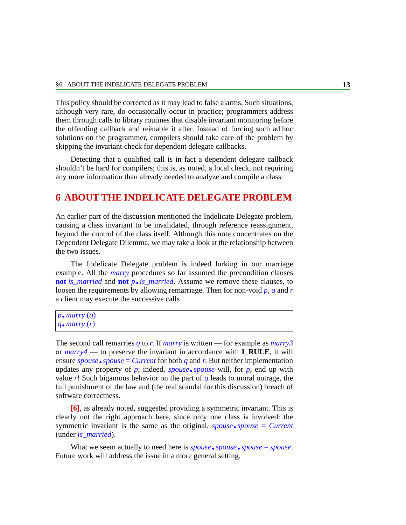This policy should be corrected as it may lead to false alarms. Such situations, although very rare, do occasionally occur in practice; programmers address them through calls to library routines that disable invariant monitoring before the offending callback and reënable it after. Instead of forcing such ad hoc solutions on the programmer, compilers should take care of the problem by skipping the invariant check for dependent delegate callbacks.

Detecting that a qualified call is in fact a dependent delegate callback shouldn't be hard for compilers; this is, as noted, a local check, not requiring any more information than already needed to analyze and compile a class.

### **6 ABOUT THE INDELICATE DELEGATE PROBLEM**

An earlier part of the discussion mentioned the Indelicate Delegate problem, causing a class invariant to be invalidated, through reference reassignment, beyond the control of the class itself. Although this note concentrates on the Dependent Delegate Dilemma, we may take a look at the relationship between the two issues.

The Indelicate Delegate problem is indeed lurking in our marriage example. All the *marry* procedures so far assumed the precondition clauses **not** *is\_married* and **not** *<sup>p</sup>*.*is\_married*. Assume we remove these clauses, to loosen the requirements by allowing remarriage. Then for non-void *p*, *q* and *r* a client may execute the successive calls

```
p.marry (q)
q.marry (r)
```
The second call remarries *q* to *r*. If *marry* is written — for example as *marry3* or  $marrow4$  — to preserve the invariant in accordance with **I\_RULE**, it will ensure *spouse* • *spouse* = *Current* for both *q* and *r*. But neither implementation updates any property of *<sup>p</sup>*; indeed, *spouse*.*spouse* will, for *<sup>p</sup>*, end up with value *r*! Such bigamous behavior on the part of *q* leads to moral outrage, the full punishment of the law and (the real scandal for this discussion) breach of software correctness.

**[\[6\]](#page-13-1)**, as already noted, suggested providing a symmetric invariant. This is clearly not the right approach here, since only one class is involved: the symmetric invariant is the same as the original, *spouse*.*spouse* <sup>=</sup> *Current* (under *is\_married*).

What we seem actually to need here is *spouse*.*spouse*.*spouse* <sup>=</sup> *spouse*. Future work will address the issue in a more general setting.